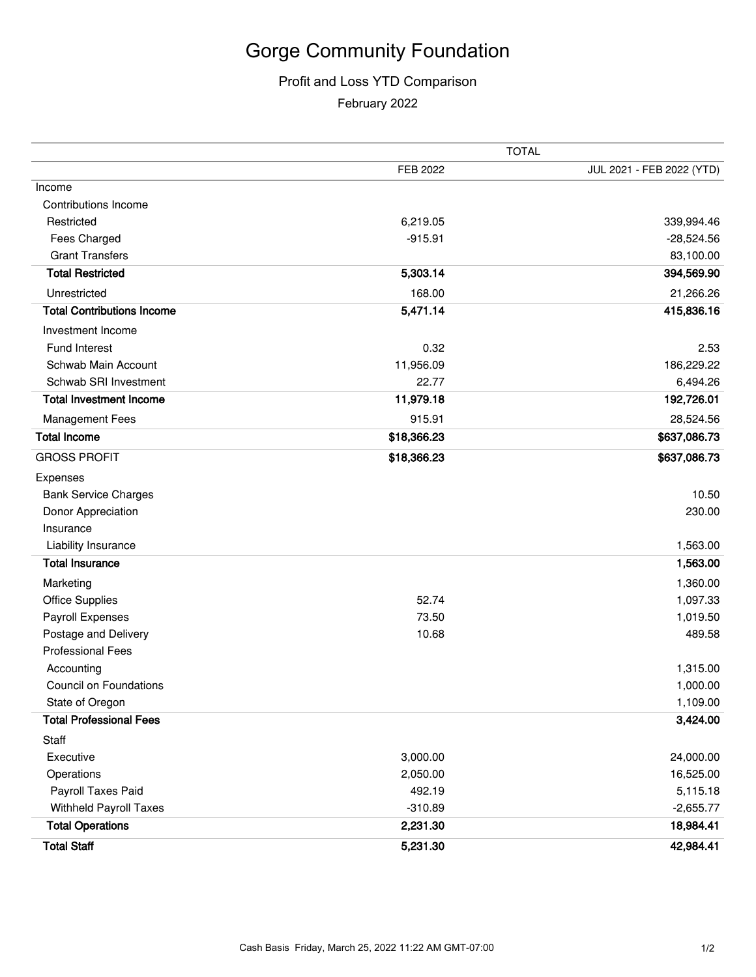## Gorge Community Foundation

## Profit and Loss YTD Comparison

February 2022

|                                   | TOTAL       |                           |
|-----------------------------------|-------------|---------------------------|
|                                   | FEB 2022    | JUL 2021 - FEB 2022 (YTD) |
| Income                            |             |                           |
| Contributions Income              |             |                           |
| Restricted                        | 6,219.05    | 339,994.46                |
| Fees Charged                      | $-915.91$   | $-28,524.56$              |
| <b>Grant Transfers</b>            |             | 83,100.00                 |
| <b>Total Restricted</b>           | 5,303.14    | 394,569.90                |
| Unrestricted                      | 168.00      | 21,266.26                 |
| <b>Total Contributions Income</b> | 5,471.14    | 415,836.16                |
| Investment Income                 |             |                           |
| Fund Interest                     | 0.32        | 2.53                      |
| Schwab Main Account               | 11,956.09   | 186,229.22                |
| Schwab SRI Investment             | 22.77       | 6,494.26                  |
| <b>Total Investment Income</b>    | 11,979.18   | 192,726.01                |
| <b>Management Fees</b>            | 915.91      | 28,524.56                 |
| <b>Total Income</b>               | \$18,366.23 | \$637,086.73              |
| <b>GROSS PROFIT</b>               | \$18,366.23 | \$637,086.73              |
| Expenses                          |             |                           |
| <b>Bank Service Charges</b>       |             | 10.50                     |
| Donor Appreciation                |             | 230.00                    |
| Insurance                         |             |                           |
| Liability Insurance               |             | 1,563.00                  |
| <b>Total Insurance</b>            |             | 1,563.00                  |
| Marketing                         |             | 1,360.00                  |
| <b>Office Supplies</b>            | 52.74       | 1,097.33                  |
| Payroll Expenses                  | 73.50       | 1,019.50                  |
| Postage and Delivery              | 10.68       | 489.58                    |
| <b>Professional Fees</b>          |             |                           |
| Accounting                        |             | 1,315.00                  |
| <b>Council on Foundations</b>     |             | 1,000.00                  |
| State of Oregon                   |             | 1,109.00                  |
| <b>Total Professional Fees</b>    |             | 3,424.00                  |
| Staff                             |             |                           |
| Executive                         | 3,000.00    | 24,000.00                 |
| Operations                        | 2,050.00    | 16,525.00                 |
| Payroll Taxes Paid                | 492.19      | 5,115.18                  |
| <b>Withheld Payroll Taxes</b>     | $-310.89$   | $-2,655.77$               |
| <b>Total Operations</b>           | 2,231.30    | 18,984.41                 |
| <b>Total Staff</b>                | 5,231.30    | 42,984.41                 |